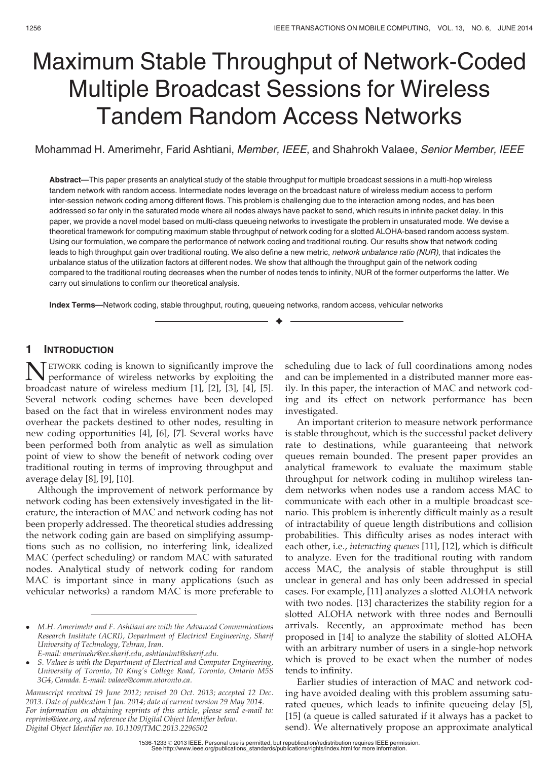# Maximum Stable Throughput of Network-Coded Multiple Broadcast Sessions for Wireless Tandem Random Access Networks

Mohammad H. Amerimehr, Farid Ashtiani, Member, IEEE, and Shahrokh Valaee, Senior Member, IEEE

Abstract—This paper presents an analytical study of the stable throughput for multiple broadcast sessions in a multi-hop wireless tandem network with random access. Intermediate nodes leverage on the broadcast nature of wireless medium access to perform inter-session network coding among different flows. This problem is challenging due to the interaction among nodes, and has been addressed so far only in the saturated mode where all nodes always have packet to send, which results in infinite packet delay. In this paper, we provide a novel model based on multi-class queueing networks to investigate the problem in unsaturated mode. We devise a theoretical framework for computing maximum stable throughput of network coding for a slotted ALOHA-based random access system. Using our formulation, we compare the performance of network coding and traditional routing. Our results show that network coding leads to high throughput gain over traditional routing. We also define a new metric, network unbalance ratio (NUR), that indicates the unbalance status of the utilization factors at different nodes. We show that although the throughput gain of the network coding compared to the traditional routing decreases when the number of nodes tends to infinity, NUR of the former outperforms the latter. We carry out simulations to confirm our theoretical analysis.

 $\bigstar$ 

Index Terms—Network coding, stable throughput, routing, queueing networks, random access, vehicular networks

## 1 INTRODUCTION

**NETWORK coding is known to significantly improve the**<br>performance of wireless networks by exploiting the<br>headeast nature of vireless medium [1], [2], [2], [4], [5] broadcast nature of wireless medium [1], [2], [3], [4], [5]. Several network coding schemes have been developed based on the fact that in wireless environment nodes may overhear the packets destined to other nodes, resulting in new coding opportunities [4], [6], [7]. Several works have been performed both from analytic as well as simulation point of view to show the benefit of network coding over traditional routing in terms of improving throughput and average delay [8], [9], [10].

Although the improvement of network performance by network coding has been extensively investigated in the literature, the interaction of MAC and network coding has not been properly addressed. The theoretical studies addressing the network coding gain are based on simplifying assumptions such as no collision, no interfering link, idealized MAC (perfect scheduling) or random MAC with saturated nodes. Analytical study of network coding for random MAC is important since in many applications (such as vehicular networks) a random MAC is more preferable to

Manuscript received 19 June 2012; revised 20 Oct. 2013; accepted 12 Dec. 2013. Date of publication 1 Jan. 2014; date of current version 29 May 2014. For information on obtaining reprints of this article, please send e-mail to: reprints@ieee.org, and reference the Digital Object Identifier below. Digital Object Identifier no. 10.1109/TMC.2013.2296502

scheduling due to lack of full coordinations among nodes and can be implemented in a distributed manner more easily. In this paper, the interaction of MAC and network coding and its effect on network performance has been investigated.

An important criterion to measure network performance is stable throughout, which is the successful packet delivery rate to destinations, while guaranteeing that network queues remain bounded. The present paper provides an analytical framework to evaluate the maximum stable throughput for network coding in multihop wireless tandem networks when nodes use a random access MAC to communicate with each other in a multiple broadcast scenario. This problem is inherently difficult mainly as a result of intractability of queue length distributions and collision probabilities. This difficulty arises as nodes interact with each other, i.e., interacting queues [11], [12], which is difficult to analyze. Even for the traditional routing with random access MAC, the analysis of stable throughput is still unclear in general and has only been addressed in special cases. For example, [11] analyzes a slotted ALOHA network with two nodes. [13] characterizes the stability region for a slotted ALOHA network with three nodes and Bernoulli arrivals. Recently, an approximate method has been proposed in [14] to analyze the stability of slotted ALOHA with an arbitrary number of users in a single-hop network which is proved to be exact when the number of nodes tends to infinity.

Earlier studies of interaction of MAC and network coding have avoided dealing with this problem assuming saturated queues, which leads to infinite queueing delay [5], [15] (a queue is called saturated if it always has a packet to send). We alternatively propose an approximate analytical

M.H. Amerimehr and F. Ashtiani are with the Advanced Communications Research Institute (ACRI), Department of Electrical Engineering, Sharif University of Technology, Tehran, Iran.

E-mail: amerimehr@ee.sharif.edu, ashtianimt@sharif.edu.

S. Valaee is with the Department of Electrical and Computer Engineering, University of Toronto, 10 King's College Road, Toronto, Ontario M5S 3G4, Canada. E-mail: valaee@comm.utoronto.ca.

<sup>1536-1233</sup> 2013 IEEE. Personal use is permitted, but republication/redistribution requires IEEE permission. See http://www.ieee.org/publications\_standards/publications/rights/index.html for more information.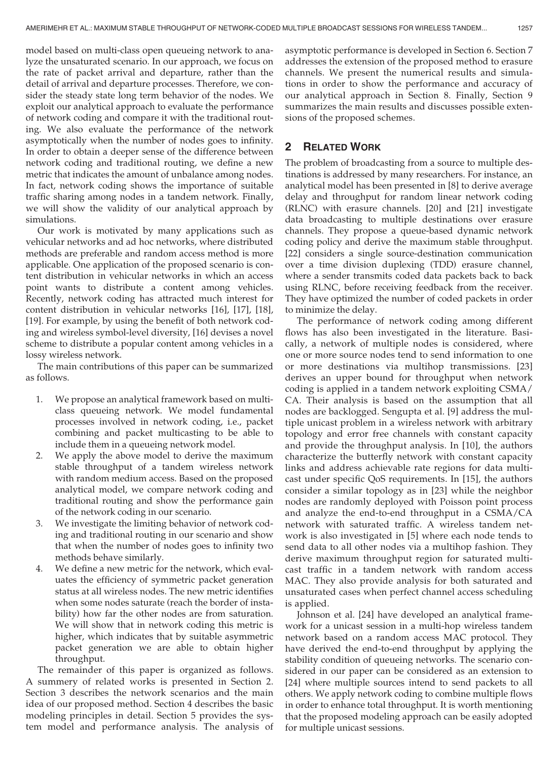model based on multi-class open queueing network to analyze the unsaturated scenario. In our approach, we focus on the rate of packet arrival and departure, rather than the detail of arrival and departure processes. Therefore, we consider the steady state long term behavior of the nodes. We exploit our analytical approach to evaluate the performance of network coding and compare it with the traditional routing. We also evaluate the performance of the network asymptotically when the number of nodes goes to infinity. In order to obtain a deeper sense of the difference between network coding and traditional routing, we define a new metric that indicates the amount of unbalance among nodes. In fact, network coding shows the importance of suitable traffic sharing among nodes in a tandem network. Finally, we will show the validity of our analytical approach by simulations.

Our work is motivated by many applications such as vehicular networks and ad hoc networks, where distributed methods are preferable and random access method is more applicable. One application of the proposed scenario is content distribution in vehicular networks in which an access point wants to distribute a content among vehicles. Recently, network coding has attracted much interest for content distribution in vehicular networks [16], [17], [18], [19]. For example, by using the benefit of both network coding and wireless symbol-level diversity, [16] devises a novel scheme to distribute a popular content among vehicles in a lossy wireless network.

The main contributions of this paper can be summarized as follows.

- 1. We propose an analytical framework based on multiclass queueing network. We model fundamental processes involved in network coding, i.e., packet combining and packet multicasting to be able to include them in a queueing network model.
- 2. We apply the above model to derive the maximum stable throughput of a tandem wireless network with random medium access. Based on the proposed analytical model, we compare network coding and traditional routing and show the performance gain of the network coding in our scenario.
- We investigate the limiting behavior of network coding and traditional routing in our scenario and show that when the number of nodes goes to infinity two methods behave similarly.
- 4. We define a new metric for the network, which evaluates the efficiency of symmetric packet generation status at all wireless nodes. The new metric identifies when some nodes saturate (reach the border of instability) how far the other nodes are from saturation. We will show that in network coding this metric is higher, which indicates that by suitable asymmetric packet generation we are able to obtain higher throughput.

The remainder of this paper is organized as follows. A summery of related works is presented in Section 2. Section 3 describes the network scenarios and the main idea of our proposed method. Section 4 describes the basic modeling principles in detail. Section 5 provides the system model and performance analysis. The analysis of asymptotic performance is developed in Section 6. Section 7 addresses the extension of the proposed method to erasure channels. We present the numerical results and simulations in order to show the performance and accuracy of our analytical approach in Section 8. Finally, Section 9 summarizes the main results and discusses possible extensions of the proposed schemes.

## 2 RELATED WORK

The problem of broadcasting from a source to multiple destinations is addressed by many researchers. For instance, an analytical model has been presented in [8] to derive average delay and throughput for random linear network coding (RLNC) with erasure channels. [20] and [21] investigate data broadcasting to multiple destinations over erasure channels. They propose a queue-based dynamic network coding policy and derive the maximum stable throughput. [22] considers a single source-destination communication over a time division duplexing (TDD) erasure channel, where a sender transmits coded data packets back to back using RLNC, before receiving feedback from the receiver. They have optimized the number of coded packets in order to minimize the delay.

The performance of network coding among different flows has also been investigated in the literature. Basically, a network of multiple nodes is considered, where one or more source nodes tend to send information to one or more destinations via multihop transmissions. [23] derives an upper bound for throughput when network coding is applied in a tandem network exploiting CSMA/ CA. Their analysis is based on the assumption that all nodes are backlogged. Sengupta et al. [9] address the multiple unicast problem in a wireless network with arbitrary topology and error free channels with constant capacity and provide the throughput analysis. In [10], the authors characterize the butterfly network with constant capacity links and address achievable rate regions for data multicast under specific QoS requirements. In [15], the authors consider a similar topology as in [23] while the neighbor nodes are randomly deployed with Poisson point process and analyze the end-to-end throughput in a CSMA/CA network with saturated traffic. A wireless tandem network is also investigated in [5] where each node tends to send data to all other nodes via a multihop fashion. They derive maximum throughput region for saturated multicast traffic in a tandem network with random access MAC. They also provide analysis for both saturated and unsaturated cases when perfect channel access scheduling is applied.

Johnson et al. [24] have developed an analytical framework for a unicast session in a multi-hop wireless tandem network based on a random access MAC protocol. They have derived the end-to-end throughput by applying the stability condition of queueing networks. The scenario considered in our paper can be considered as an extension to [24] where multiple sources intend to send packets to all others. We apply network coding to combine multiple flows in order to enhance total throughput. It is worth mentioning that the proposed modeling approach can be easily adopted for multiple unicast sessions.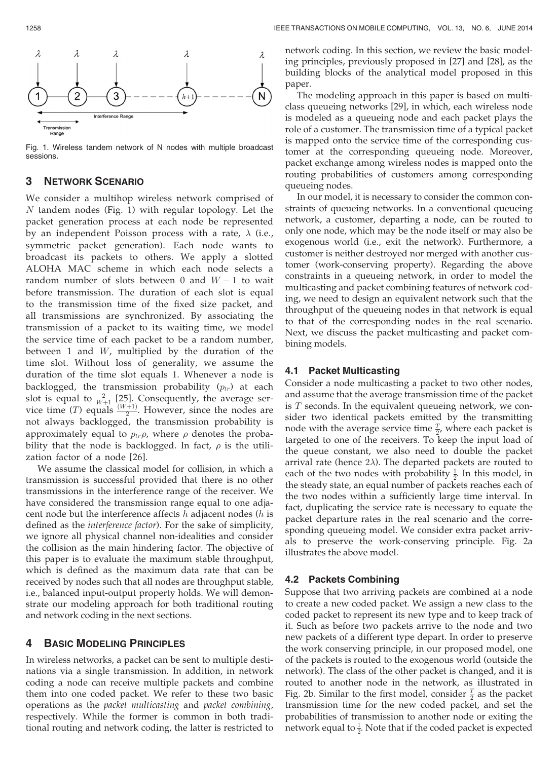

Fig. 1. Wireless tandem network of N nodes with multiple broadcast sessions.

## 3 NETWORK SCENARIO

We consider a multihop wireless network comprised of  $N$  tandem nodes (Fig. 1) with regular topology. Let the packet generation process at each node be represented by an independent Poisson process with a rate,  $\lambda$  (i.e., symmetric packet generation). Each node wants to broadcast its packets to others. We apply a slotted ALOHA MAC scheme in which each node selects a random number of slots between 0 and  $W - 1$  to wait before transmission. The duration of each slot is equal to the transmission time of the fixed size packet, and all transmissions are synchronized. By associating the transmission of a packet to its waiting time, we model the service time of each packet to be a random number, between  $1$  and  $W$ , multiplied by the duration of the time slot. Without loss of generality, we assume the duration of the time slot equals 1. Whenever a node is backlogged, the transmission probability  $(p_{tr})$  at each slot is equal to  $\frac{2}{W+1}$  [25]. Consequently, the average ser-<br>vice time (T) equals  $\frac{(W+1)}{W+1}$  However, since the nodes are vice time (T) equals  $\frac{W+1}{2}$ . However, since the nodes are<br>not always backlogged the transmission probability is not always backlogged, the transmission probability is approximately equal to  $p_{tr}\rho$ , where  $\rho$  denotes the probability that the node is backlogged. In fact,  $\rho$  is the utilization factor of a node [26].

We assume the classical model for collision, in which a transmission is successful provided that there is no other transmissions in the interference range of the receiver. We have considered the transmission range equal to one adjacent node but the interference affects  $h$  adjacent nodes  $(h$  is defined as the interference factor). For the sake of simplicity, we ignore all physical channel non-idealities and consider the collision as the main hindering factor. The objective of this paper is to evaluate the maximum stable throughput, which is defined as the maximum data rate that can be received by nodes such that all nodes are throughput stable, i.e., balanced input-output property holds. We will demonstrate our modeling approach for both traditional routing and network coding in the next sections.

### 4 BASIC MODELING PRINCIPLES

In wireless networks, a packet can be sent to multiple destinations via a single transmission. In addition, in network coding a node can receive multiple packets and combine them into one coded packet. We refer to these two basic operations as the packet multicasting and packet combining, respectively. While the former is common in both traditional routing and network coding, the latter is restricted to

network coding. In this section, we review the basic modeling principles, previously proposed in [27] and [28], as the building blocks of the analytical model proposed in this paper.

The modeling approach in this paper is based on multiclass queueing networks [29], in which, each wireless node is modeled as a queueing node and each packet plays the role of a customer. The transmission time of a typical packet is mapped onto the service time of the corresponding customer at the corresponding queueing node. Moreover, packet exchange among wireless nodes is mapped onto the routing probabilities of customers among corresponding queueing nodes.

In our model, it is necessary to consider the common constraints of queueing networks. In a conventional queueing network, a customer, departing a node, can be routed to only one node, which may be the node itself or may also be exogenous world (i.e., exit the network). Furthermore, a customer is neither destroyed nor merged with another customer (work-conserving property). Regarding the above constraints in a queueing network, in order to model the multicasting and packet combining features of network coding, we need to design an equivalent network such that the throughput of the queueing nodes in that network is equal to that of the corresponding nodes in the real scenario. Next, we discuss the packet multicasting and packet combining models.

#### 4.1 Packet Multicasting

Consider a node multicasting a packet to two other nodes, and assume that the average transmission time of the packet is  $T$  seconds. In the equivalent queueing network, we consider two identical packets emitted by the transmitting node with the average service time  $\frac{T}{2}$ , where each packet is<br>targeted to one of the receivers. To keep the input load of targeted to one of the receivers. To keep the input load of the queue constant, we also need to double the packet arrival rate (hence  $2\lambda$ ). The departed packets are routed to each of the two podes with probability  $\frac{1}{2}$  In this model in each of the two nodes with probability  $\frac{1}{2}$ . In this model, in the steady state an equal number of packets reaches each of the steady state, an equal number of packets reaches each of the two nodes within a sufficiently large time interval. In fact, duplicating the service rate is necessary to equate the packet departure rates in the real scenario and the corresponding queueing model. We consider extra packet arrivals to preserve the work-conserving principle. Fig. 2a illustrates the above model.

#### 4.2 Packets Combining

Suppose that two arriving packets are combined at a node to create a new coded packet. We assign a new class to the coded packet to represent its new type and to keep track of it. Such as before two packets arrive to the node and two new packets of a different type depart. In order to preserve the work conserving principle, in our proposed model, one of the packets is routed to the exogenous world (outside the network). The class of the other packet is changed, and it is routed to another node in the network, as illustrated in Fig. 2b. Similar to the first model, consider  $\frac{T}{2}$  as the packet<br>transmission time for the new coded packet, and set the transmission time for the new coded packet, and set the probabilities of transmission to another node or exiting the network equal to  $\frac{1}{2}$ . Note that if the coded packet is expected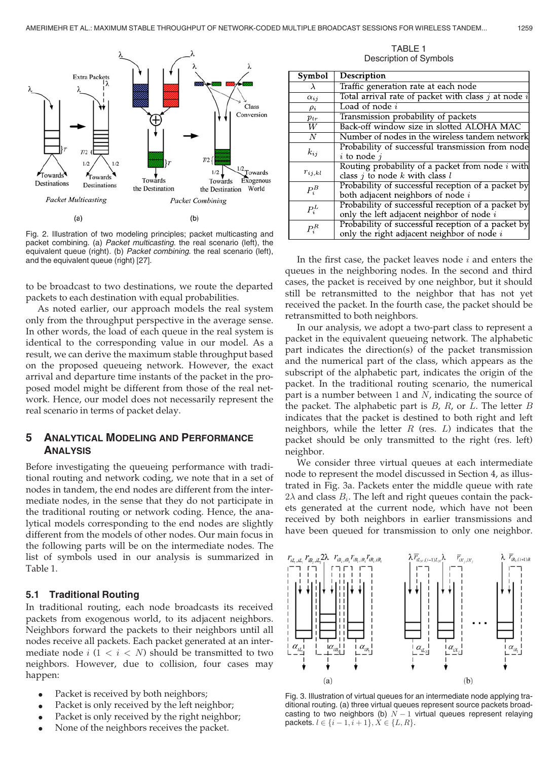

Fig. 2. Illustration of two modeling principles; packet multicasting and packet combining. (a) Packet multicasting. the real scenario (left), the packet combining. (a) *Packet multicasting*. the real scenario (left), the<br>equivalent queue (right). (b) *Packet combining*. the real scenario (left). equivalent queue (right). (b) *Packet combining*. the real scenario (left),<br>and the equivalent queue (right) [27]. and the equivalent queue (right) [27].

to be broadcast to two destinations, we route the departed packets to each destination with equal probabilities.

As noted earlier, our approach models the real system only from the throughput perspective in the average sense. In other words, the load of each queue in the real system is identical to the corresponding value in our model. As a result, we can derive the maximum stable throughput based on the proposed queueing network. However, the exact arrival and departure time instants of the packet in the proposed model might be different from those of the real network. Hence, our model does not necessarily represent the real scenario in terms of packet delay.

## 5 ANALYTICAL MODELING AND PERFORMANCE **ANALYSIS**

Before investigating the queueing performance with traditional routing and network coding, we note that in a set of nodes in tandem, the end nodes are different from the intermediate nodes, in the sense that they do not participate in the traditional routing or network coding. Hence, the analytical models corresponding to the end nodes are slightly different from the models of other nodes. Our main focus in the following parts will be on the intermediate nodes. The list of symbols used in our analysis is summarized in Table 1.

#### 5.1 Traditional Routing

In traditional routing, each node broadcasts its received packets from exogenous world, to its adjacent neighbors. Neighbors forward the packets to their neighbors until all nodes receive all packets. Each packet generated at an intermediate node  $i$  ( $1 < i < N$ ) should be transmitted to two neighbors. However, due to collision, four cases may happen:

- Packet is received by both neighbors;
- Packet is only received by the left neighbor;
- Packet is only received by the right neighbor;
- None of the neighbors receives the packet.

TABLE 1 Description of Symbols

| Symbol           | Description                                             |
|------------------|---------------------------------------------------------|
|                  | Traffic generation rate at each node                    |
| $\alpha_{ij}$    | Total arrival rate of packet with class $j$ at node $i$ |
| $\rho_i$         | Load of node i                                          |
| $p_{tr}$         | Transmission probability of packets                     |
| W                | Back-off window size in slotted ALOHA MAC               |
| $\boldsymbol{N}$ | Number of nodes in the wireless tandem network          |
|                  | Probability of successful transmission from node        |
| $k_{ij}$         | $i$ to node $i$                                         |
|                  | Routing probability of a packet from node $i$ with      |
| $r_{ij,kl}$      | class $i$ to node $k$ with class $l$                    |
| $P_i^B$          | Probability of successful reception of a packet by      |
|                  | both adjacent neighbors of node $i$                     |
| $P_i^L$          | Probability of successful reception of a packet by      |
|                  | only the left adjacent neighbor of node $i$             |
| $P_i^R$          | Probability of successful reception of a packet by      |
|                  | only the right adjacent neighbor of node $i$            |

In the first case, the packet leaves node  $i$  and enters the queues in the neighboring nodes. In the second and third cases, the packet is received by one neighbor, but it should still be retransmitted to the neighbor that has not yet received the packet. In the fourth case, the packet should be retransmitted to both neighbors.

In our analysis, we adopt a two-part class to represent a packet in the equivalent queueing network. The alphabetic part indicates the direction(s) of the packet transmission and the numerical part of the class, which appears as the subscript of the alphabetic part, indicates the origin of the packet. In the traditional routing scenario, the numerical part is a number between 1 and  $N$ , indicating the source of the packet. The alphabetic part is  $B$ ,  $R$ , or  $L$ . The letter  $B$ indicates that the packet is destined to both right and left neighbors, while the letter  $R$  (res.  $L$ ) indicates that the packet should be only transmitted to the right (res. left) neighbor.

We consider three virtual queues at each intermediate node to represent the model discussed in Section 4, as illustrated in Fig. 3a. Packets enter the middle queue with rate  $2\lambda$  and class  $B_i$ . The left and right queues contain the pack-<br>ets generated at the current node, which have not been ets generated at the current node, which have not been received by both neighbors in earlier transmissions and have been queued for transmission to only one neighbor.



Fig. 3. Illustration of virtual queues for an intermediate node applying traditional routing. (a) three virtual queues represent source packets broadcasting to two neighbors (b)  $N-1$  virtual queues represent relaying packets.  $l \in \{i - 1, i + 1\}, X \in \{L, R\}.$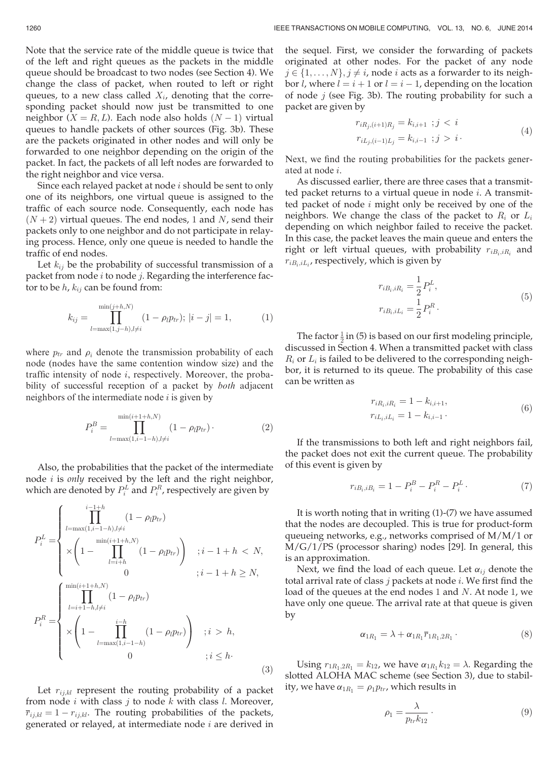Note that the service rate of the middle queue is twice that of the left and right queues as the packets in the middle queue should be broadcast to two nodes (see Section 4). We change the class of packet, when routed to left or right queues, to a new class called  $X_i$ , denoting that the corresponding packet should now just be transmitted to one neighbor ( $X = R$ , L). Each node also holds  $(N - 1)$  virtual queues to handle packets of other sources (Fig. 3b). These are the packets originated in other nodes and will only be forwarded to one neighbor depending on the origin of the packet. In fact, the packets of all left nodes are forwarded to the right neighbor and vice versa.

Since each relayed packet at node i should be sent to only one of its neighbors, one virtual queue is assigned to the traffic of each source node. Consequently, each node has  $(N + 2)$  virtual queues. The end nodes, 1 and N, send their packets only to one neighbor and do not participate in relaying process. Hence, only one queue is needed to handle the traffic of end nodes.

Let  $k_{ij}$  be the probability of successful transmission of a packet from node  $i$  to node  $j$ . Regarding the interference factor to be  $h$ ,  $k_{ij}$  can be found from:

$$
k_{ij} = \prod_{l=\max(1,j-h),l\neq i}^{\min(j+h,N)} (1 - \rho_l p_{tr}); \ |i - j| = 1,
$$
 (1)

where  $p_{tr}$  and  $\rho_i$  denote the transmission probability of each node (nodes have the same contention window size) and the traffic intensity of node  $i$ , respectively. Moreover, the probability of successful reception of a packet by *both* adjacent neighbors of the intermediate node  $i$  is given by

$$
P_i^B = \prod_{l=\max(1,i-1-h), l\neq i}^{\min(i+1+h,N)} (1 - \rho_l p_{tr}) \,. \tag{2}
$$

Also, the probabilities that the packet of the intermediate node  $i$  is only received by the left and the right neighbor, which are denoted by  $P_i^L$  and  $P_i^R$ , respectively are given by

$$
P_i^L = \begin{cases} \prod_{l=\max(1,i-1-h),l\neq i}^{i-1+h} (1-\rho_l p_{tr}) \\ \times \left(1 - \prod_{l=i+h}^{\min(i+1+h,N)} (1-\rho_l p_{tr})\right) & ; i-1+h < N, \\ 0 & ; i-1+h \geq N, \end{cases}
$$

$$
P_i^R = \begin{cases} \prod_{l=i+1-h,l\neq i}^{\min(i+1+h,N)} (1-\rho_l p_{tr}) \\ \times \left(1 - \prod_{l=\max(1,i-1-h)}^{\min(i+1+h,k)} (1-\rho_l p_{tr})\right) & ; i > h, \\ 0 & ; i \leq h. \end{cases}
$$
(3)

Let  $r_{ijkl}$  represent the routing probability of a packet from node  $i$  with class  $j$  to node  $k$  with class  $l$ . Moreover,  $\overline{r}_{ij,kl} = 1 - r_{ij,kl}$ . The routing probabilities of the packets, generated or relayed, at intermediate node  $i$  are derived in

the sequel. First, we consider the forwarding of packets originated at other nodes. For the packet of any node  $j \in \{1, \ldots, N\}, j \neq i$ , node i acts as a forwarder to its neighbor *l*, where  $l = i + 1$  or  $l = i - 1$ , depending on the location of node  $j$  (see Fig. 3b). The routing probability for such a packet are given by

$$
r_{iR_j,(i+1)R_j} = k_{i,i+1} \; ; j < i
$$
\n
$$
r_{iL_j,(i-1)L_j} = k_{i,i-1} \; ; j > i \; . \tag{4}
$$

Next, we find the routing probabilities for the packets generated at node i.

As discussed earlier, there are three cases that a transmitted packet returns to a virtual queue in node  $i$ . A transmitted packet of node  $i$  might only be received by one of the neighbors. We change the class of the packet to  $R_i$  or  $L_i$ depending on which neighbor failed to receive the packet. In this case, the packet leaves the main queue and enters the right or left virtual queues, with probability  $r_{iB_i,iR_i}$  and  $r_{iB_i,iL_i}$ , respectively, which is given by

$$
r_{iB_i,iR_i} = \frac{1}{2} P_i^L,
$$
  
\n
$$
r_{iB_i,iL_i} = \frac{1}{2} P_i^R.
$$
\n(5)

The factor  $\frac{1}{2}$  in (5) is based on our first modeling principle,<br>cussed in Section 4, When a transmitted packet with class discussed in Section 4. When a transmitted packet with class  $R_i$  or  $L_i$  is failed to be delivered to the corresponding neighbor, it is returned to its queue. The probability of this case can be written as

$$
r_{iR_i,iR_i} = 1 - k_{i,i+1},
$$
  
\n
$$
r_{iL_i,iL_i} = 1 - k_{i,i-1}.
$$
\n(6)

If the transmissions to both left and right neighbors fail, the packet does not exit the current queue. The probability of this event is given by

$$
r_{iB_i,iB_i} = 1 - P_i^B - P_i^R - P_i^L. \tag{7}
$$

It is worth noting that in writing (1)-(7) we have assumed that the nodes are decoupled. This is true for product-form queueing networks, e.g., networks comprised of M/M/1 or M/G/1/PS (processor sharing) nodes [29]. In general, this is an approximation.

Next, we find the load of each queue. Let  $\alpha_{ij}$  denote the total arrival rate of class  $j$  packets at node  $i$ . We first find the load of the queues at the end nodes 1 and <sup>N</sup>. At node 1, we have only one queue. The arrival rate at that queue is given by

$$
\alpha_{1R_1} = \lambda + \alpha_{1R_1} \overline{r}_{1R_1,2R_1} \tag{8}
$$

Using  $r_{1R_1,2R_1} = k_{12}$ , we have  $\alpha_{1R_1} k_{12} = \lambda$ . Regarding the the definition of  $\Delta I$  OH  $\Lambda$  MAC scheme (see Section 3), due to stabil slotted ALOHA MAC scheme (see Section 3), due to stability, we have  $\alpha_{1R_1} = \rho_1 p_{tr}$ , which results in

$$
\rho_1 = \frac{\lambda}{p_{tr} k_{12}} \,. \tag{9}
$$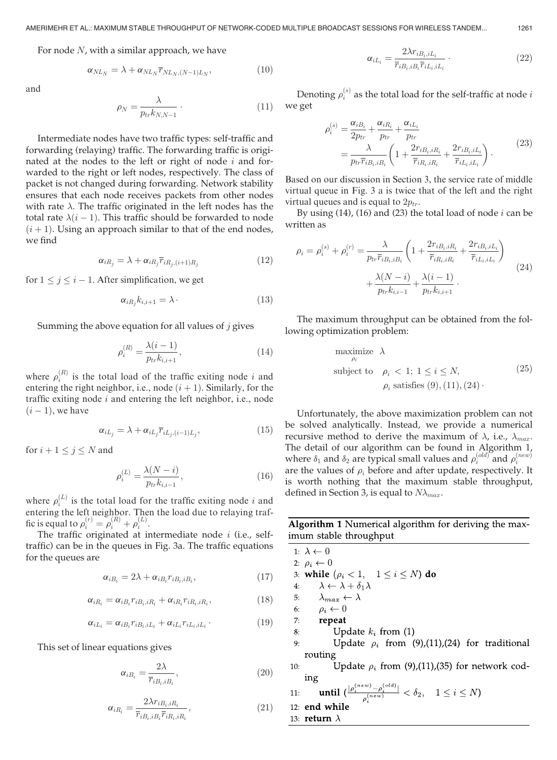For node  $N$ , with a similar approach, we have

$$
\alpha_{NL_N} = \lambda + \alpha_{NL_N} \overline{r}_{NL_N,(N-1)L_N},\tag{10}
$$

and

$$
\rho_N = \frac{\lambda}{p_{tr} k_{N,N-1}} \,. \tag{11}
$$

Intermediate nodes have two traffic types: self-traffic and forwarding (relaying) traffic. The forwarding traffic is originated at the nodes to the left or right of node  $i$  and forwarded to the right or left nodes, respectively. The class of packet is not changed during forwarding. Network stability ensures that each node receives packets from other nodes with rate  $\lambda$ . The traffic originated in the left nodes has the total rate  $\lambda(i-1)$ . This traffic should be forwarded to node  $(i+1)$ . Heing an approach similar to that of the end nodes  $(i + 1)$ . Using an approach similar to that of the end nodes, we find

$$
\alpha_{iR_j} = \lambda + \alpha_{iR_j} \overline{r}_{iR_j, (i+1)R_j} \tag{12}
$$

for  $1 \leq j \leq i - 1$ . After simplification, we get

$$
\alpha_{iR_j}k_{i,i+1} = \lambda \tag{13}
$$

Summing the above equation for all values of  $j$  gives

$$
\rho_i^{(R)} = \frac{\lambda(i-1)}{p_{tr}k_{i,i+1}},
$$
\n(14)

where  $\rho_i^{(R)}$  is the total load of the traffic exiting node i and entering the right neighbor, i.e., node  $(i + 1)$ . Similarly, for the traffic exiting node  $i$  and entering the left neighbor, i.e., node  $(i - 1)$ , we have

$$
\alpha_{iL_j} = \lambda + \alpha_{iL_j} \overline{r}_{iL_j, (i-1)L_j},\tag{15}
$$

for  $i + 1 \le j \le N$  and

$$
\rho_i^{(L)} = \frac{\lambda (N - i)}{p_{tr} k_{i, i - 1}},\tag{16}
$$

where  $\rho_i^{(L)}$  is the total load for the traffic exiting node i and entering the left neighbor. Then the load due to relaying traf-<br>fic is equal to  $\rho_i^{(r)} = \rho_i^{(R)} + \rho_i^{(L)}$ .

The traffic originated at intermediate node  $i$  (i.e., selftraffic) can be in the queues in Fig. 3a. The traffic equations for the queues are

$$
\alpha_{iB_i} = 2\lambda + \alpha_{iB_i} r_{iB_i, iB_i}, \qquad (17)
$$

$$
\alpha_{iR_i} = \alpha_{iB_i} r_{iB_i,iR_i} + \alpha_{iR_i} r_{iR_i,iR_i}, \qquad (18)
$$

$$
\alpha_{iL_i} = \alpha_{iB_i} r_{iB_i,iL_i} + \alpha_{iL_i} r_{iL_i,iL_i}.
$$
\n(19)

This set of linear equations gives

$$
\alpha_{iB_i} = \frac{2\lambda}{\overline{r}_{iB_i, iB_i}},\tag{20}
$$

$$
\alpha_{iR_i} = \frac{2\lambda r_{iB_i,iR_i}}{\overline{r}_{iB_i,iB_i}\overline{r}_{iR_i,iR_i}},\tag{21}
$$

$$
\alpha_{iL_i} = \frac{2\lambda r_{iB_i, iL_i}}{\overline{r}_{iB_i, iB_i}\overline{r}_{iL_i, iL_i}}\tag{22}
$$

Denoting  $\rho_i^{(s)}$  as the total load for the self-traffic at node  $i$ we get

$$
\rho_i^{(s)} = \frac{\alpha_{iB_i}}{2p_{tr}} + \frac{\alpha_{iR_i}}{p_{tr}} + \frac{\alpha_{iL_i}}{p_{tr}} \n= \frac{\lambda}{p_{tr}\bar{r}_{iB_i,iB_i}} \left( 1 + \frac{2r_{iB_i,iR_i}}{\bar{r}_{iR_i,iR_i}} + \frac{2r_{iB_i,iL_i}}{\bar{r}_{iL_i,iL_i}} \right).
$$
\n(23)

Based on our discussion in Section 3, the service rate of middle virtual queue in Fig. 3 a is twice that of the left and the right virtual queues and is equal to  $2p_{tr}$ .

By using  $(14)$ ,  $(16)$  and  $(23)$  the total load of node i can be written as

$$
\rho_i = \rho_i^{(s)} + \rho_i^{(r)} = \frac{\lambda}{p_{tr} \overline{r}_{iB_i, iB_i}} \left( 1 + \frac{2r_{iB_i, iR_i}}{\overline{r}_{iR_i, iR_i}} + \frac{2r_{iB_i, iL_i}}{\overline{r}_{iL_i, iL_i}} \right) + \frac{\lambda(N - i)}{p_{tr} k_{i,i-1}} + \frac{\lambda(i - 1)}{p_{tr} k_{i,i+1}}.
$$
\n(24)

The maximum throughput can be obtained from the following optimization problem:

$$
\begin{array}{ll}\n\text{maximize} & \lambda \\
\text{subject to} & \rho_i < 1; \ 1 \leq i \leq N, \\
& \rho_i \text{ satisfies } (9), (11), (24)\n\end{array} \tag{25}
$$

Unfortunately, the above maximization problem can not be solved analytically. Instead, we provide a numerical recursive method to derive the maximum of  $\lambda$ , i.e.,  $\lambda_{max}$ . The detail of our algorithm can be found in Algorithm 1, where  $\delta_1$  and  $\delta_2$  are typical small values and  $\rho_i^{(old)}$  and  $\rho_i^{(new)}$ are the values of  $\rho_i$  before and after update, respectively. It is worth nothing that the maximum stable throughput, defined in Section 3, is equal to  $N\lambda_{max}$ .

Algorithm 1 Numerical algorithm for deriving the maximum stable throughput

|     | 1: $\lambda \leftarrow 0$                                                                                         |
|-----|-------------------------------------------------------------------------------------------------------------------|
|     | 2: $\rho_i \leftarrow 0$                                                                                          |
|     | 3: while $(\rho_i < 1, 1 \leq i \leq N)$ do                                                                       |
|     | 4: $\lambda \leftarrow \lambda + \delta_1 \lambda$                                                                |
|     | 5: $\lambda_{max} \leftarrow \lambda$                                                                             |
|     | 6: $\rho_i \leftarrow 0$                                                                                          |
|     | $7:$ repeat                                                                                                       |
|     | Update $k_i$ from (1)<br>8:                                                                                       |
| 9:  | Update $\rho_i$ from (9),(11),(24) for traditional                                                                |
|     | routing                                                                                                           |
| 10: | Update $\rho_i$ from (9),(11),(35) for network cod-                                                               |
|     | ing                                                                                                               |
| 11: | <b>until</b> $\left(\frac{ \rho_i^{(new)} - \rho_i^{(old)} }{o^{(new)}} \right) < \delta_2$ , $1 \leq i \leq N$ ) |
|     | $12:$ end while                                                                                                   |

13: **return**  $\lambda$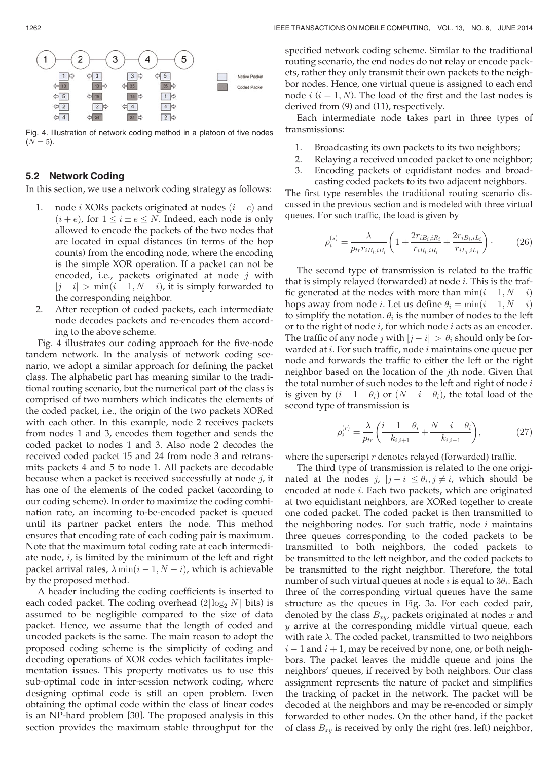$\boxed{24}$  $\frac{1}{2}$  $\frac{1}{24}$  $2$ Fig. 4. Illustration of network coding method in a platoon of five nodes

#### 5.2 Network Coding

In this section, we use a network coding strategy as follows:

- 1. node *i* XORs packets originated at nodes  $(i e)$  and  $(i+e)$ , for  $1 \le i \pm e \le N$ . Indeed, each node is only allowed to encode the packets of the two nodes that are located in equal distances (in terms of the hop counts) from the encoding node, where the encoding is the simple XOR operation. If a packet can not be encoded, i.e., packets originated at node  $j$  with  $|j - i| > \min(i - 1, N - i)$ , it is simply forwarded to the corresponding neighbor.
- 2. After reception of coded packets, each intermediate node decodes packets and re-encodes them according to the above scheme.

Fig. 4 illustrates our coding approach for the five-node tandem network. In the analysis of network coding scenario, we adopt a similar approach for defining the packet class. The alphabetic part has meaning similar to the traditional routing scenario, but the numerical part of the class is comprised of two numbers which indicates the elements of the coded packet, i.e., the origin of the two packets XORed with each other. In this example, node 2 receives packets from nodes 1 and 3, encodes them together and sends the coded packet to nodes 1 and 3. Also node 2 decodes the received coded packet 15 and 24 from node 3 and retransmits packets 4 and 5 to node 1. All packets are decodable because when a packet is received successfully at node  $j$ , it has one of the elements of the coded packet (according to our coding scheme). In order to maximize the coding combination rate, an incoming to-be-encoded packet is queued until its partner packet enters the node. This method ensures that encoding rate of each coding pair is maximum. Note that the maximum total coding rate at each intermediate node,  $i$ , is limited by the minimum of the left and right packet arrival rates,  $\lambda \min(i - 1, N - i)$ , which is achievable<br>by the proposed method by the proposed method.

A header including the coding coefficients is inserted to each coded packet. The coding overhead  $(2\lceil \log_2 N \rceil)$  bits) is assumed to be negligible compared to the size of data packet. Hence, we assume that the length of coded and uncoded packets is the same. The main reason to adopt the proposed coding scheme is the simplicity of coding and decoding operations of XOR codes which facilitates implementation issues. This property motivates us to use this sub-optimal code in inter-session network coding, where designing optimal code is still an open problem. Even obtaining the optimal code within the class of linear codes is an NP-hard problem [30]. The proposed analysis in this section provides the maximum stable throughput for the specified network coding scheme. Similar to the traditional routing scenario, the end nodes do not relay or encode packets, rather they only transmit their own packets to the neighbor nodes. Hence, one virtual queue is assigned to each end node  $i$  ( $i = 1, N$ ). The load of the first and the last nodes is derived from (9) and (11), respectively.

Each intermediate node takes part in three types of transmissions:

- 1. Broadcasting its own packets to its two neighbors;
- 2. Relaying a received uncoded packet to one neighbor;
- 3. Encoding packets of equidistant nodes and broad-

casting coded packets to its two adjacent neighbors. The first type resembles the traditional routing scenario discussed in the previous section and is modeled with three virtual queues. For such traffic, the load is given by

$$
\rho_i^{(s)} = \frac{\lambda}{p_{tr}\overline{r}_{iB_i, iB_i}} \left( 1 + \frac{2r_{iB_i, iR_i}}{\overline{r}_{iR_i, iR_i}} + \frac{2r_{iB_i, iL_i}}{\overline{r}_{iL_i, iL_i}} \right) \,. \tag{26}
$$

The second type of transmission is related to the traffic that is simply relayed (forwarded) at node  $i$ . This is the traffic generated at the nodes with more than  $min(i - 1, N - i)$ hops away from node *i*. Let us define  $\theta_i = \min(i - 1, N - i)$ to simplify the notation.  $\theta_i$  is the number of nodes to the left or to the right of node  $i$ , for which node  $i$  acts as an encoder. The traffic of any node j with  $|j - i| > \theta_i$  should only be forwarded at  $i$ . For such traffic, node  $i$  maintains one queue per node and forwards the traffic to either the left or the right neighbor based on the location of the jth node. Given that the total number of such nodes to the left and right of node  $i$ is given by  $(i - 1 - \theta_i)$  or  $(N - i - \theta_i)$ , the total load of the second type of transmission is

$$
\rho_i^{(r)} = \frac{\lambda}{p_{tr}} \left( \frac{i - 1 - \theta_i}{k_{i, i+1}} + \frac{N - i - \theta_i}{k_{i, i-1}} \right),\tag{27}
$$

where the superscript  $r$  denotes relayed (forwarded) traffic.

The third type of transmission is related to the one originated at the nodes  $j, |j - i| \le \theta_i, j \ne i$ , which should be encoded at node i. Each two packets, which are originated at two equidistant neighbors, are XORed together to create one coded packet. The coded packet is then transmitted to the neighboring nodes. For such traffic, node  $i$  maintains three queues corresponding to the coded packets to be transmitted to both neighbors, the coded packets to be transmitted to the left neighbor, and the coded packets to be transmitted to the right neighbor. Therefore, the total number of such virtual queues at node *i* is equal to  $3\theta_i$ . Each three of the corresponding virtual queues have the same structure as the queues in Fig. 3a. For each coded pair, denoted by the class  $B_{xy}$ , packets originated at nodes x and  $y$  arrive at the corresponding middle virtual queue, each with rate  $\lambda$ . The coded packet, transmitted to two neighbors  $i - 1$  and  $i + 1$ , may be received by none, one, or both neighbors. The packet leaves the middle queue and joins the neighbors' queues, if received by both neighbors. Our class assignment represents the nature of packet and simplifies the tracking of packet in the network. The packet will be decoded at the neighbors and may be re-encoded or simply forwarded to other nodes. On the other hand, if the packet of class  $B_{xy}$  is received by only the right (res. left) neighbor,

 $(N = 5)$ .

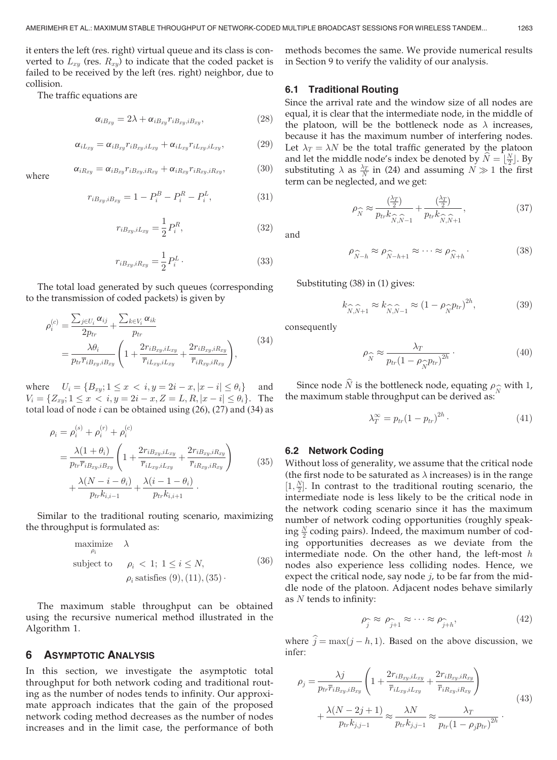it enters the left (res. right) virtual queue and its class is converted to  $L_{xy}$  (res.  $R_{xy}$ ) to indicate that the coded packet is failed to be received by the left (res. right) neighbor, due to collision.

The traffic equations are

$$
\alpha_{iB_{xy}} = 2\lambda + \alpha_{iB_{xy}} r_{iB_{xy},iB_{xy}}, \qquad (28)
$$

$$
\alpha_{iL_{xy}} = \alpha_{iB_{xy}} r_{iB_{xy},iL_{xy}} + \alpha_{iL_{xy}} r_{iL_{xy},iL_{xy}}, \qquad (29)
$$

where 
$$
\alpha_{iR_{xy}} = \alpha_{iB_{xy}} r_{iB_{xy},iR_{xy}} + \alpha_{iR_{xy}} r_{iR_{xy},iR_{xy}}, \qquad (30)
$$

$$
r_{iB_{xy},iB_{xy}} = 1 - P_i^B - P_i^R - P_i^L,
$$
\n(31)

$$
r_{iB_{xy},iL_{xy}} = \frac{1}{2} P_i^R,
$$
\n(32)

$$
r_{iB_{xy},iR_{xy}} = \frac{1}{2}P_i^L.
$$
\n(33)

The total load generated by such queues (corresponding to the transmission of coded packets) is given by

$$
\rho_i^{(c)} = \frac{\sum_{j \in U_i} \alpha_{ij}}{2p_{tr}} + \frac{\sum_{k \in V_i} \alpha_{ik}}{p_{tr}} \n= \frac{\lambda \theta_i}{p_{tr} \overline{r}_{i B_{xy}, i B_{xy}}} \left( 1 + \frac{2r_{i B_{xy}, i L_{xy}}}{\overline{r}_{i L_{xy}, i L_{xy}}} + \frac{2r_{i B_{xy}, i R_{xy}}}{\overline{r}_{i R_{xy}, i R_{xy}}} \right),
$$
\n(34)

where  $U_i = \{B_{xy}; 1 \le x < i, y = 2i - x, |x - i| \le \theta_i\}$  and  $V_i = \{Z_{xy}; 1 \leq x < i, y = 2i - x, Z = L, R, |x - i| \leq \theta_i\}.$  The total load of node i can be obtained using  $(26)$ ,  $(27)$  and  $(34)$  as

$$
\rho_{i} = \rho_{i}^{(s)} + \rho_{i}^{(r)} + \rho_{i}^{(c)}
$$
\n
$$
= \frac{\lambda (1 + \theta_{i})}{p_{tr} \overline{r}_{i B_{xy}, i B_{xy}}} \left( 1 + \frac{2 r_{i B_{xy}, i L_{xy}}}{\overline{r}_{i L_{xy}, i L_{xy}}} + \frac{2 r_{i B_{xy}, i R_{xy}}}{\overline{r}_{i R_{xy}, i R_{xy}}} \right)
$$
\n
$$
+ \frac{\lambda (N - i - \theta_{i})}{p_{tr} k_{i, i - 1}} + \frac{\lambda (i - 1 - \theta_{i})}{p_{tr} k_{i, i + 1}}.
$$
\n(35)

Similar to the traditional routing scenario, maximizing the throughput is formulated as:

$$
\begin{array}{ll}\n\text{maximize} & \lambda \\
\hline\n\varphi_i & \text{subject to} \\
& \rho_i < 1; \ 1 \le i \le N, \\
& \rho_i \text{ satisfies } (9), (11), (35)\n\end{array} \tag{36}
$$

The maximum stable throughput can be obtained using the recursive numerical method illustrated in the Algorithm 1.

#### 6 ASYMPTOTIC ANALYSIS

In this section, we investigate the asymptotic total throughput for both network coding and traditional routing as the number of nodes tends to infinity. Our approximate approach indicates that the gain of the proposed network coding method decreases as the number of nodes increases and in the limit case, the performance of both methods becomes the same. We provide numerical results in Section 9 to verify the validity of our analysis.

#### 6.1 Traditional Routing

Since the arrival rate and the window size of all nodes are equal, it is clear that the intermediate node, in the middle of the platoon, will be the bottleneck node as  $\lambda$  increases, because it has the maximum number of interfering nodes. Let  $\lambda_T = \lambda N$  be the total traffic generated by the platoon and let the middle node's index be denoted by  $\hat{N} = \left[\frac{N}{2}\right]$ . By substituting  $\lambda$  as  $\frac{\lambda \mathcal{P}}{\lambda}$  in (24) and assuming  $N \gg 1$  the first substituting  $\lambda$  as  $\frac{\lambda_T}{N}$  in (24) and assuming  $N \gg 1$  the first term can be neglected and we get: term can be neglected, and we get:

$$
\rho_{\widehat{N}} \approx \frac{\left(\frac{\lambda_T}{2}\right)}{p_{tr} k_{\widehat{N}, \widehat{N}-1}} + \frac{\left(\frac{\lambda_T}{2}\right)}{p_{tr} k_{\widehat{N}, \widehat{N}+1}},\tag{37}
$$

and

$$
\rho_{\widehat{N}-h} \approx \rho_{\widehat{N}-h+1} \approx \cdots \approx \rho_{\widehat{N}+h}.
$$
\n(38)

Substituting (38) in (1) gives:

$$
k_{\widehat{N},\widehat{N}+1} \approx k_{\widehat{N},\widehat{N}-1} \approx (1 - \rho_{\widehat{N}} p_{tr})^{2h},\tag{39}
$$

consequently

$$
\rho_{\widehat{N}} \approx \frac{\lambda_T}{p_{tr}(1 - \rho_{\widehat{N}} p_{tr})^{2h}}.
$$
\n(40)

Since node  $\widehat{N}$  is the bottleneck node, equating  $\rho_{\widehat{N}}$  with 1, maximum stable throughput can be derived as: the maximum stable throughput can be derived as:

$$
\lambda_T^{\infty} = p_{tr} (1 - p_{tr})^{2h} \,. \tag{41}
$$

#### 6.2 Network Coding

Without loss of generality, we assume that the critical node (the first node to be saturated as  $\lambda$  increases) is in the range  $[1, \frac{N}{2}]$ . In contrast to the traditional routing scenario, the intermediate node is less likely to be the critical node in intermediate node is less likely to be the critical node in the network coding scenario since it has the maximum number of network coding opportunities (roughly speaking  $\frac{N}{2}$  coding pairs). Indeed, the maximum number of cod-<br>ing connortunities, decreases as we deviate from the ing opportunities decreases as we deviate from the intermediate node. On the other hand, the left-most  $h$ nodes also experience less colliding nodes. Hence, we expect the critical node, say node  $j$ , to be far from the middle node of the platoon. Adjacent nodes behave similarly as N tends to infinity:

$$
\rho_{\widehat{j}} \approx \rho_{\widehat{j}+1} \approx \cdots \approx \rho_{\widehat{j}+h},\tag{42}
$$

where  $\hat{j} = \max(j - h, 1)$ . Based on the above discussion, we infer: infer:

$$
\rho_j = \frac{\lambda j}{p_{tr} \overline{r}_{i B_{xy}, i B_{xy}}} \left( 1 + \frac{2 r_{i B_{xy}, i L_{xy}}}{\overline{r}_{i L_{xy}, i L_{xy}}} + \frac{2 r_{i B_{xy}, i R_{xy}}}{\overline{r}_{i R_{xy}, i R_{xy}}}\right) + \frac{\lambda (N - 2j + 1)}{p_{tr} k_{j, j-1}} \approx \frac{\lambda N}{p_{tr} k_{j, j-1}} \approx \frac{\lambda T}{p_{tr} (1 - \rho_j p_{tr})^{2h}}.
$$
\n(43)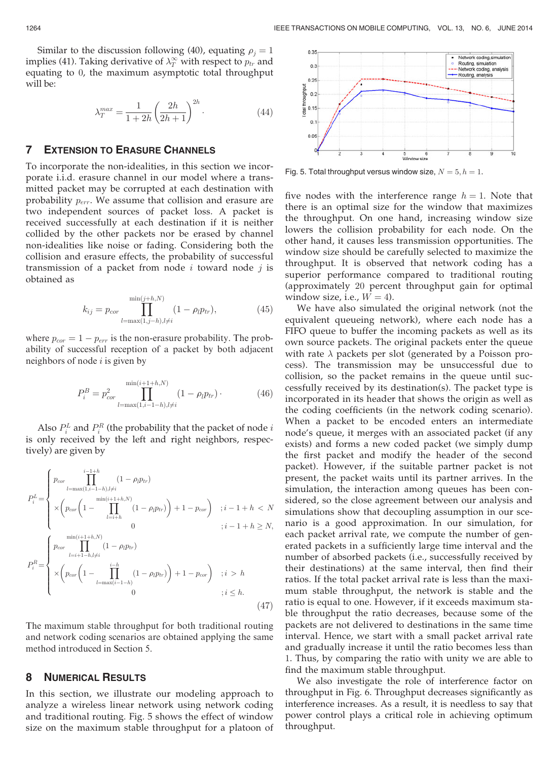Similar to the discussion following (40), equating  $\rho_i = 1$ implies (41). Taking derivative of  $\lambda_T^{\infty}$  with respect to  $p_{tr}$  and equating to 0, the maximum asymptotic total throughput will be:

$$
\lambda_T^{max} = \frac{1}{1+2h} \left(\frac{2h}{2h+1}\right)^{2h}.
$$
 (44)

## 7 EXTENSION TO ERASURE CHANNELS

To incorporate the non-idealities, in this section we incorporate i.i.d. erasure channel in our model where a transmitted packet may be corrupted at each destination with probability  $p_{err}$ . We assume that collision and erasure are two independent sources of packet loss. A packet is received successfully at each destination if it is neither collided by the other packets nor be erased by channel non-idealities like noise or fading. Considering both the collision and erasure effects, the probability of successful transmission of a packet from node  $i$  toward node  $j$  is obtained as

$$
k_{ij} = p_{cor} \prod_{l=\max(1,j-h),l\neq i}^{\min(j+h,N)} (1 - \rho_l p_{tr}),
$$
 (45)

where  $p_{cor} = 1 - p_{err}$  is the non-erasure probability. The probability of successful reception of a packet by both adjacent neighbors of node  $i$  is given by

$$
P_i^B = p_{cor}^2 \prod_{l=\max(1,i-1-h),l\neq i}^{\min(i+1+h,N)} (1 - \rho_l p_{tr}) \,. \tag{46}
$$

Also  $P_i^L$  and  $P_i^R$  (the probability that the packet of node i is only received by the left and right neighbors, respectively) are given by

$$
P_{i}^{L} = \begin{cases} p_{cor} \prod_{l=\max(1,i-1-h),l\neq i}^{i-1+h} (1-\rho_{l}p_{tr}) \\ \times \left( p_{cor} \left( 1 - \prod_{l=i+h}^{\min(i+1+h,N)} (1-\rho_{l}p_{tr}) \right) + 1 - p_{cor} \right) & ; i-1+h < N \\ 0 & ; i-1+h \geq N, \end{cases}
$$
  

$$
P_{i}^{R} = \begin{cases} p_{cor} \prod_{l=i+1-h,l\neq i}^{\min(i+1+h,N)} (1-\rho_{l}p_{tr}) \\ \times \left( p_{cor} \left( 1 - \prod_{l=\max(i-1-h)}^{\min(i-1,h)} (1-\rho_{l}p_{tr}) \right) + 1 - p_{cor} \right) & ; i > h \\ 0 & ; i \leq h. \end{cases}
$$
  
(47)

The maximum stable throughput for both traditional routing and network coding scenarios are obtained applying the same method introduced in Section 5.

#### 8 NUMERICAL RESULTS

In this section, we illustrate our modeling approach to analyze a wireless linear network using network coding and traditional routing. Fig. 5 shows the effect of window size on the maximum stable throughput for a platoon of



Fig. 5. Total throughput versus window size,  $N = 5, h = 1$ .

five nodes with the interference range  $h = 1$ . Note that there is an optimal size for the window that maximizes the throughput. On one hand, increasing window size lowers the collision probability for each node. On the other hand, it causes less transmission opportunities. The window size should be carefully selected to maximize the throughput. It is observed that network coding has a superior performance compared to traditional routing (approximately 20 percent throughput gain for optimal window size, i.e.,  $W = 4$ ).

We have also simulated the original network (not the equivalent queueing network), where each node has a FIFO queue to buffer the incoming packets as well as its own source packets. The original packets enter the queue with rate  $\lambda$  packets per slot (generated by a Poisson process). The transmission may be unsuccessful due to collision, so the packet remains in the queue until successfully received by its destination(s). The packet type is incorporated in its header that shows the origin as well as the coding coefficients (in the network coding scenario). When a packet to be encoded enters an intermediate node's queue, it merges with an associated packet (if any exists) and forms a new coded packet (we simply dump the first packet and modify the header of the second packet). However, if the suitable partner packet is not present, the packet waits until its partner arrives. In the simulation, the interaction among queues has been considered, so the close agreement between our analysis and simulations show that decoupling assumption in our scenario is a good approximation. In our simulation, for each packet arrival rate, we compute the number of generated packets in a sufficiently large time interval and the number of absorbed packets (i.e., successfully received by their destinations) at the same interval, then find their ratios. If the total packet arrival rate is less than the maximum stable throughput, the network is stable and the ratio is equal to one. However, if it exceeds maximum stable throughput the ratio decreases, because some of the packets are not delivered to destinations in the same time interval. Hence, we start with a small packet arrival rate and gradually increase it until the ratio becomes less than 1. Thus, by comparing the ratio with unity we are able to find the maximum stable throughput.

We also investigate the role of interference factor on throughput in Fig. 6. Throughput decreases significantly as interference increases. As a result, it is needless to say that power control plays a critical role in achieving optimum throughput.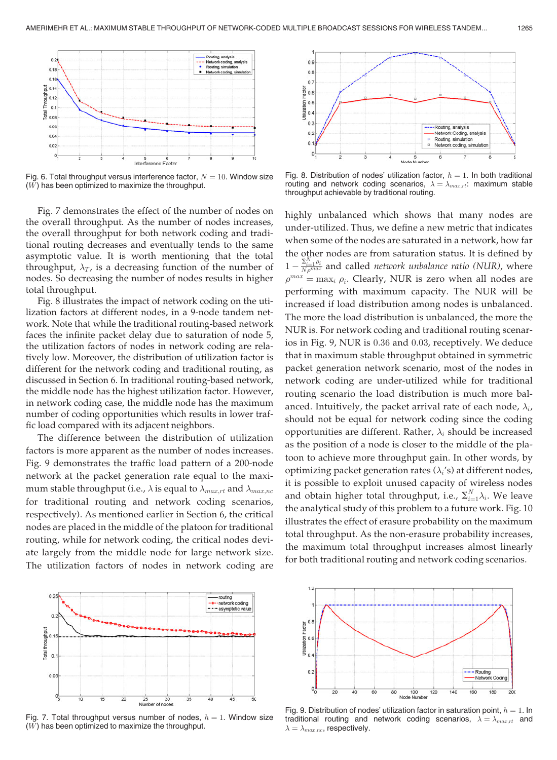

Fig. 6. Total throughput versus interference factor,  $N = 10$ . Window size  $(W)$  has been optimized to maximize the throughput.

Fig. 7 demonstrates the effect of the number of nodes on the overall throughput. As the number of nodes increases, the overall throughput for both network coding and traditional routing decreases and eventually tends to the same asymptotic value. It is worth mentioning that the total throughput,  $\lambda_T$ , is a decreasing function of the number of nodes. So decreasing the number of nodes results in higher total throughput.

Fig. 8 illustrates the impact of network coding on the utilization factors at different nodes, in a 9-node tandem network. Note that while the traditional routing-based network faces the infinite packet delay due to saturation of node 5, the utilization factors of nodes in network coding are relatively low. Moreover, the distribution of utilization factor is different for the network coding and traditional routing, as discussed in Section 6. In traditional routing-based network, the middle node has the highest utilization factor. However, in network coding case, the middle node has the maximum number of coding opportunities which results in lower traffic load compared with its adjacent neighbors.

The difference between the distribution of utilization factors is more apparent as the number of nodes increases. Fig. 9 demonstrates the traffic load pattern of a 200-node network at the packet generation rate equal to the maximum stable throughput (i.e.,  $\lambda$  is equal to  $\lambda_{max,rt}$  and  $\lambda_{max,nc}$ for traditional routing and network coding scenarios, respectively). As mentioned earlier in Section 6, the critical nodes are placed in the middle of the platoon for traditional routing, while for network coding, the critical nodes deviate largely from the middle node for large network size. The utilization factors of nodes in network coding are



Fig. 7. Total throughput versus number of nodes,  $h = 1$ . Window size (W) has been optimized to maximize the throughput.



Fig. 8. Distribution of nodes' utilization factor,  $h = 1$ . In both traditional routing and network coding scenarios,  $\lambda = \lambda_{max,rt}$ : maximum stable throughput achievable by traditional routing.

highly unbalanced which shows that many nodes are under-utilized. Thus, we define a new metric that indicates when some of the nodes are saturated in a network, how far the other nodes are from saturation status. It is defined by  $\frac{\sum_{i=1}^{N} p_i}{N \rho^{max}}$  and called *network unbalance ratio* (NUR), where  $\rho^{max} = \max_i \rho_i$ . Clearly, NUR is zero when all nodes are performing with maximum capacity. The NUR will be increased if load distribution among nodes is unbalanced. The more the load distribution is unbalanced, the more the NUR is. For network coding and traditional routing scenarios in Fig. 9, NUR is 0:36 and 0:03, receptively. We deduce that in maximum stable throughput obtained in symmetric packet generation network scenario, most of the nodes in network coding are under-utilized while for traditional routing scenario the load distribution is much more balanced. Intuitively, the packet arrival rate of each node,  $\lambda_i$ , should not be equal for network coding since the coding opportunities are different. Rather,  $\lambda_i$  should be increased as the position of a node is closer to the middle of the platoon to achieve more throughput gain. In other words, by optimizing packet generation rates  $(\lambda_i\text{'s})$  at different nodes, it is possible to exploit unused capacity of wireless nodes and obtain higher total throughput, i.e.,  $\Sigma_{i=1}^{N} \lambda_i$ . We leave the analytical study of this problem to a future work. Fig. 10 illustrates the effect of erasure probability on the maximum total throughput. As the non-erasure probability increases, the maximum total throughput increases almost linearly for both traditional routing and network coding scenarios.



Fig. 9. Distribution of nodes' utilization factor in saturation point,  $h = 1$ . In traditional routing and network coding scenarios,  $\lambda = \lambda_{max,rt}$  and  $\lambda = \lambda_{max,nc}$ , respectively.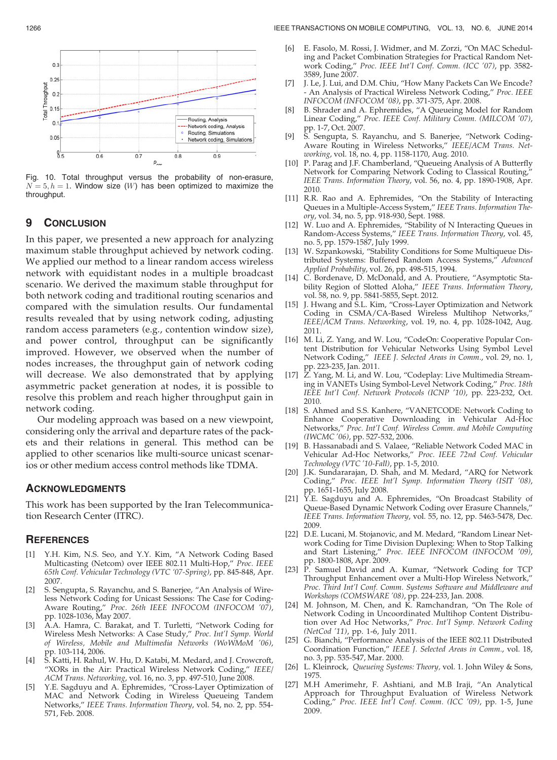

Fig. 10. Total throughput versus the probability of non-erasure,  $N = 5, h = 1$ . Window size (W) has been optimized to maximize the throughput.

## 9 CONCLUSION

In this paper, we presented a new approach for analyzing maximum stable throughput achieved by network coding. We applied our method to a linear random access wireless network with equidistant nodes in a multiple broadcast scenario. We derived the maximum stable throughput for both network coding and traditional routing scenarios and compared with the simulation results. Our fundamental results revealed that by using network coding, adjusting random access parameters (e.g., contention window size), and power control, throughput can be significantly improved. However, we observed when the number of nodes increases, the throughput gain of network coding will decrease. We also demonstrated that by applying asymmetric packet generation at nodes, it is possible to resolve this problem and reach higher throughput gain in network coding.

Our modeling approach was based on a new viewpoint, considering only the arrival and departure rates of the packets and their relations in general. This method can be applied to other scenarios like multi-source unicast scenarios or other medium access control methods like TDMA.

### ACKNOWLEDGMENTS

This work has been supported by the Iran Telecommunication Research Center (ITRC).

#### **REFERENCES**

- [1] Y.H. Kim, N.S. Seo, and Y.Y. Kim, "A Network Coding Based Multicasting (Netcom) over IEEE 802.11 Multi-Hop," Proc. IEEE 65th Conf. Vehicular Technology (VTC '07-Spring), pp. 845-848, Apr. 2007.
- [2] S. Sengupta, S. Rayanchu, and S. Banerjee, "An Analysis of Wireless Network Coding for Unicast Sessions: The Case for Coding-Aware Routing," Proc. 26th IEEE INFOCOM (INFOCOM '07), pp. 1028-1036, May 2007.
- [3] A.A. Hamra, C. Barakat, and T. Turletti, "Network Coding for Wireless Mesh Networks: A Case Study," Proc. Int'l Symp. World of Wireless, Mobile and Multimedia Networks (WoWMoM '06), pp. 103-114, 2006.
- [4] S. Katti, H. Rahul, W. Hu, D. Katabi, M. Medard, and J. Crowcroft, "XORs in the Air: Practical Wireless Network Coding," IEEE/ ACM Trans. Networking, vol. 16, no. 3, pp. 497-510, June 2008.
- [5] Y.E. Sagduyu and A. Ephremides, "Cross-Layer Optimization of MAC and Network Coding in Wireless Queueing Tandem Networks," IEEE Trans. Information Theory, vol. 54, no. 2, pp. 554- 571, Feb. 2008.
- [6] E. Fasolo, M. Rossi, J. Widmer, and M. Zorzi, "On MAC Scheduling and Packet Combination Strategies for Practical Random Network Coding," Proc. IEEE Int'l Conf. Comm. (ICC '07), pp. 3582- 3589, June 2007.
- [7] J. Le, J. Lui, and D.M. Chiu, "How Many Packets Can We Encode? - An Analysis of Practical Wireless Network Coding," Proc. IEEE INFOCOM (INFOCOM '08), pp. 371-375, Apr. 2008.
- [8] B. Shrader and A. Ephremides, "A Queueing Model for Random Linear Coding," Proc. IEEE Conf. Military Comm. (MILCOM '07), pp. 1-7, Oct. 2007.
- [9] S. Sengupta, S. Rayanchu, and S. Banerjee, "Network Coding-Aware Routing in Wireless Networks," IEEE/ACM Trans. Networking, vol. 18, no. 4, pp. 1158-1170, Aug. 2010.
- [10] P. Parag and J.F. Chamberland, "Queueing Analysis of A Butterfly Network for Comparing Network Coding to Classical Routing, IEEE Trans. Information Theory, vol. 56, no. 4, pp. 1890-1908, Apr. 2010.
- [11] R.R. Rao and A. Ephremides, "On the Stability of Interacting Queues in a Multiple-Access System," IEEE Trans. Information Theory, vol. 34, no. 5, pp. 918-930, Sept. 1988.
- [12] W. Luo and A. Ephremides, "Stability of N Interacting Queues in Random-Access Systems," IEEE Trans. Information Theory, vol. 45, no. 5, pp. 1579-1587, July 1999.
- [13] W. Szpankowski, "Stability Conditions for Some Multiqueue Distributed Systems: Buffered Random Access Systems," Advanced Applied Probability, vol. 26, pp. 498-515, 1994.
- [14] C. Bordenave, D. McDonald, and A. Proutiere, "Asymptotic Stability Region of Slotted Aloha," IEEE Trans. Information Theory, vol. 58, no. 9, pp. 5841-5855, Sept. 2012.
- [15] J. Hwang and S.L. Kim, "Cross-Layer Optimization and Network Coding in CSMA/CA-Based Wireless Multihop Networks," IEEE/ACM Trans. Networking, vol. 19, no. 4, pp. 1028-1042, Aug. 2011.
- [16] M. Li, Z. Yang, and W. Lou, "CodeOn: Cooperative Popular Content Distribution for Vehicular Networks Using Symbol Level Network Coding," IEEE J. Selected Areas in Comm., vol. 29, no. 1, pp. 223-235, Jan. 2011.
- [17] Z. Yang, M. Li, and W. Lou, "Codeplay: Live Multimedia Streaming in VANETs Using Symbol-Level Network Coding," Proc. 18th IEEE Int'l Conf. Network Protocols (ICNP '10), pp. 223-232, Oct. 2010.
- [18] S. Ahmed and S.S. Kanhere, "VANETCODE: Network Coding to Enhance Cooperative Downloading in Vehicular Ad-Hoc Networks," Proc. Int'l Conf. Wireless Comm. and Mobile Computing (IWCMC '06), pp. 527-532, 2006.
- [19] B. Hassanabadi and S. Valaee, "Reliable Network Coded MAC in Vehicular Ad-Hoc Networks," Proc. IEEE 72nd Conf. Vehicular Technology (VTC '10-Fall), pp. 1-5, 2010.
- [20] J.K. Sundararajan, D. Shah, and M. Medard, "ARQ for Network Coding," Proc. IEEE Int'l Symp. Information Theory (ISIT '08), pp. 1651-1655, July 2008.
- [21] Y.E. Sagduyu and A. Ephremides, "On Broadcast Stability of Queue-Based Dynamic Network Coding over Erasure Channels," IEEE Trans. Information Theory, vol. 55, no. 12, pp. 5463-5478, Dec. 2009.
- [22] D.E. Lucani, M. Stojanovic, and M. Medard, "Random Linear Network Coding for Time Division Duplexing: When to Stop Talking and Start Listening," Proc. IEEE INFOCOM (INFOCOM '09), pp. 1800-1808, Apr. 2009.
- [23] P. Samuel David and A. Kumar, "Network Coding for TCP Throughput Enhancement over a Multi-Hop Wireless Network," Proc. Third Int'l Conf. Comm. Systems Software and Middleware and Workshops (COMSWARE '08), pp. 224-233, Jan. 2008.
- [24] M. Johnson, M. Chen, and K. Ramchandran, "On The Role of Network Coding in Uncoordinated Multihop Content Distribution over Ad Hoc Networks," Proc. Int'l Symp. Network Coding (NetCod '11), pp. 1-6, July 2011.
- [25] G. Bianchi, "Performance Analysis of the IEEE 802.11 Distributed Coordination Function," IEEE J. Selected Areas in Comm., vol. 18, no. 3, pp. 535-547, Mar. 2000.
- [26] L. Kleinrock, Queueing Systems: Theory, vol. 1. John Wiley & Sons, 1975.
- [27] M.H Amerimehr, F. Ashtiani, and M.B Iraji, "An Analytical Approach for Throughput Evaluation of Wireless Network Coding," Proc. IEEE Int'l Conf. Comm. (ICC '09), pp. 1-5, June 2009.